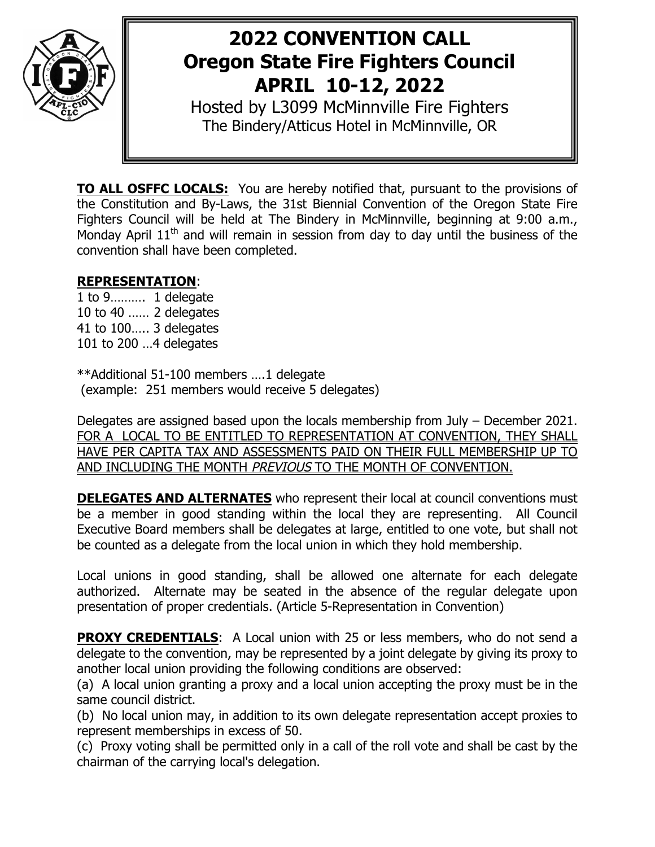

# **2022 CONVENTION CALL Oregon State Fire Fighters Council APRIL 10-12, 2022**

Hosted by L3099 McMinnville Fire Fighters The Bindery/Atticus Hotel in McMinnville, OR

**TO ALL OSFFC LOCALS:** You are hereby notified that, pursuant to the provisions of the Constitution and By-Laws, the 31st Biennial Convention of the Oregon State Fire Fighters Council will be held at The Bindery in McMinnville, beginning at 9:00 a.m., Monday April  $11<sup>th</sup>$  and will remain in session from day to day until the business of the convention shall have been completed.

## **REPRESENTATION**:

1 to 9………. 1 delegate 10 to 40 …… 2 delegates 41 to 100….. 3 delegates 101 to 200 …4 delegates

\*\*Additional 51-100 members ….1 delegate (example: 251 members would receive 5 delegates)

Delegates are assigned based upon the locals membership from July – December 2021. FOR A LOCAL TO BE ENTITLED TO REPRESENTATION AT CONVENTION, THEY SHALL HAVE PER CAPITA TAX AND ASSESSMENTS PAID ON THEIR FULL MEMBERSHIP UP TO AND INCLUDING THE MONTH PREVIOUS TO THE MONTH OF CONVENTION.

**DELEGATES AND ALTERNATES** who represent their local at council conventions must be a member in good standing within the local they are representing. All Council Executive Board members shall be delegates at large, entitled to one vote, but shall not be counted as a delegate from the local union in which they hold membership.

Local unions in good standing, shall be allowed one alternate for each delegate authorized. Alternate may be seated in the absence of the regular delegate upon presentation of proper credentials. (Article 5-Representation in Convention)

**PROXY CREDENTIALS:** A Local union with 25 or less members, who do not send a delegate to the convention, may be represented by a joint delegate by giving its proxy to another local union providing the following conditions are observed:

(a) A local union granting a proxy and a local union accepting the proxy must be in the same council district.

(b) No local union may, in addition to its own delegate representation accept proxies to represent memberships in excess of 50.

(c) Proxy voting shall be permitted only in a call of the roll vote and shall be cast by the chairman of the carrying local's delegation.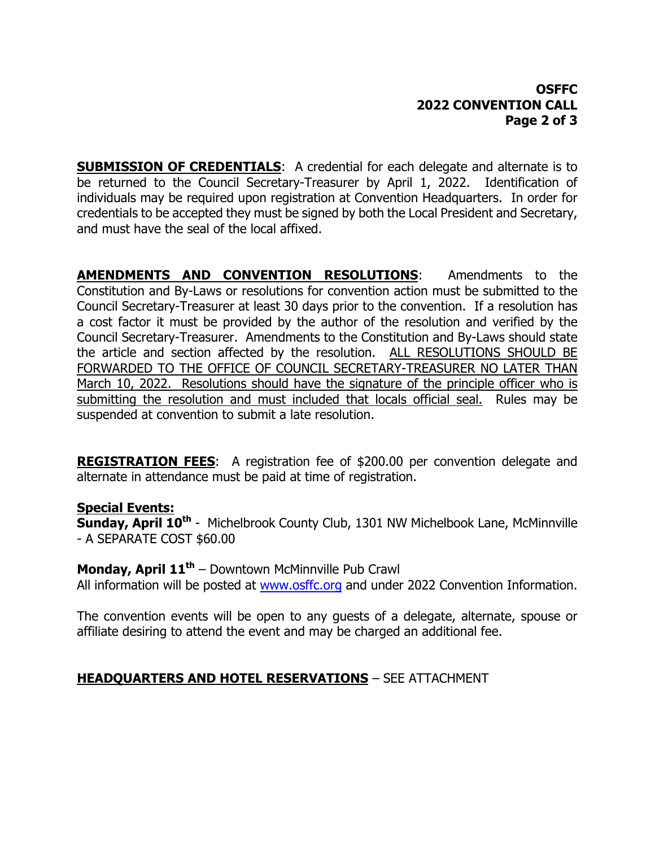## **OSFFC 2022 CONVENTION CALL Page 2 of 3**

**SUBMISSION OF CREDENTIALS:** A credential for each delegate and alternate is to be returned to the Council Secretary-Treasurer by April 1, 2022. Identification of individuals may be required upon registration at Convention Headquarters. In order for credentials to be accepted they must be signed by both the Local President and Secretary, and must have the seal of the local affixed.

**AMENDMENTS AND CONVENTION RESOLUTIONS:** Amendments to the Constitution and By-Laws or resolutions for convention action must be submitted to the Council Secretary-Treasurer at least 30 days prior to the convention. If a resolution has a cost factor it must be provided by the author of the resolution and verified by the Council Secretary-Treasurer. Amendments to the Constitution and By-Laws should state the article and section affected by the resolution. ALL RESOLUTIONS SHOULD BE FORWARDED TO THE OFFICE OF COUNCIL SECRETARY-TREASURER NO LATER THAN March 10, 2022. Resolutions should have the signature of the principle officer who is submitting the resolution and must included that locals official seal. Rules may be suspended at convention to submit a late resolution.

**REGISTRATION FEES**: A registration fee of \$200.00 per convention delegate and alternate in attendance must be paid at time of registration.

### **Special Events:**

**Sunday, April 10th** - Michelbrook County Club, 1301 NW Michelbook Lane, McMinnville - A SEPARATE COST \$60.00

**Monday, April 11<sup>th</sup>** – Downtown McMinnville Pub Crawl

All information will be posted at www.osffc.org and under 2022 Convention Information.

The convention events will be open to any guests of a delegate, alternate, spouse or affiliate desiring to attend the event and may be charged an additional fee.

### **HEADQUARTERS AND HOTEL RESERVATIONS** – SEE ATTACHMENT